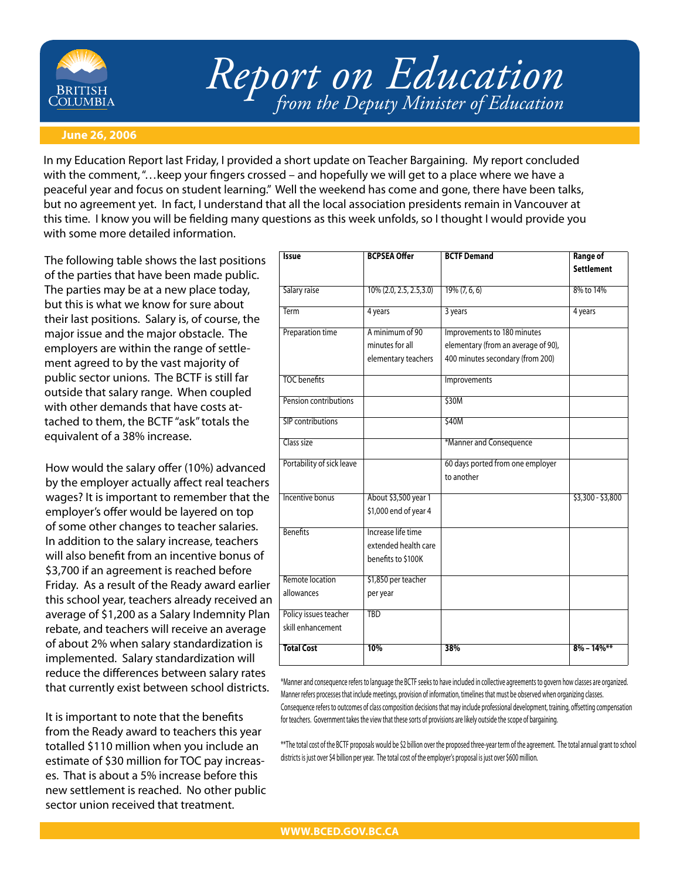

# *Report on Education from the Deputy Minister of Education*

#### **June 26, 2006**

In my Education Report last Friday, I provided a short update on Teacher Bargaining. My report concluded with the comment, "…keep your fingers crossed – and hopefully we will get to a place where we have a peaceful year and focus on student learning." Well the weekend has come and gone, there have been talks, but no agreement yet. In fact, I understand that all the local association presidents remain in Vancouver at this time. I know you will be fielding many questions as this week unfolds, so I thought I would provide you with some more detailed information.

The following table shows the last positions of the parties that have been made public. The parties may be at a new place today, but this is what we know for sure about their last positions. Salary is, of course, the major issue and the major obstacle. The employers are within the range of settlement agreed to by the vast majority of public sector unions. The BCTF is still far outside that salary range. When coupled with other demands that have costs attached to them, the BCTF "ask" totals the equivalent of a 38% increase.

How would the salary offer (10%) advanced by the employer actually affect real teachers wages? It is important to remember that the employer's offer would be layered on top of some other changes to teacher salaries. In addition to the salary increase, teachers will also benefit from an incentive bonus of \$3,700 if an agreement is reached before Friday. As a result of the Ready award earlier this school year, teachers already received an average of \$1,200 as a Salary Indemnity Plan rebate, and teachers will receive an average of about 2% when salary standardization is implemented. Salary standardization will reduce the differences between salary rates that currently exist between school districts.

It is important to note that the benefits from the Ready award to teachers this year totalled \$110 million when you include an estimate of \$30 million for TOC pay increases. That is about a 5% increase before this new settlement is reached. No other public sector union received that treatment.

| <b>Issue</b>              | <b>BCPSEA Offer</b>         | <b>BCTF Demand</b>                  | <b>Range of</b>   |
|---------------------------|-----------------------------|-------------------------------------|-------------------|
|                           |                             |                                     | <b>Settlement</b> |
| Salary raise              | $10\%$ (2.0, 2.5, 2.5, 3.0) | $19\% (7, 6, 6)$                    | 8% to 14%         |
| Term                      | 4 years                     | 3 years                             | 4 years           |
| Preparation time          | A minimum of 90             | Improvements to 180 minutes         |                   |
|                           | minutes for all             | elementary (from an average of 90), |                   |
|                           | elementary teachers         | 400 minutes secondary (from 200)    |                   |
| <b>TOC</b> benefits       |                             | Improvements                        |                   |
| Pension contributions     |                             | \$30M                               |                   |
| SIP contributions         |                             | \$40M                               |                   |
| Class size                |                             | *Manner and Consequence             |                   |
| Portability of sick leave |                             | 60 days ported from one employer    |                   |
|                           |                             | to another                          |                   |
| <b>Incentive bonus</b>    | About \$3,500 year 1        |                                     | $$3,300 - $3,800$ |
|                           | \$1,000 end of year 4       |                                     |                   |
| <b>Benefits</b>           | Increase life time          |                                     |                   |
|                           | extended health care        |                                     |                   |
|                           | benefits to \$100K          |                                     |                   |
| Remote location           | \$1,850 per teacher         |                                     |                   |
| allowances                | per year                    |                                     |                   |
| Policy issues teacher     | <b>TBD</b>                  |                                     |                   |
| skill enhancement         |                             |                                     |                   |
| <b>Total Cost</b>         | 10%                         | 38%                                 | $8\% - 14\%$ **   |

\*Manner and consequence refers to language the BCTF seeks to have included in collective agreements to govern how classes are organized. Manner refers processes that include meetings, provision of information, timelines that must be observed when organizing classes. Consequence refers to outcomes of class composition decisions that may include professional development, training, offsetting compensation for teachers. Government takes the view that these sorts of provisions are likely outside the scope of bargaining.

\*\*The total cost of the BCTF proposals would be \$2 billion over the proposed three-year term of the agreement. The total annual grant to school districts is just over \$4 billion per year. The total cost of the employer's proposal is just over \$600 million.